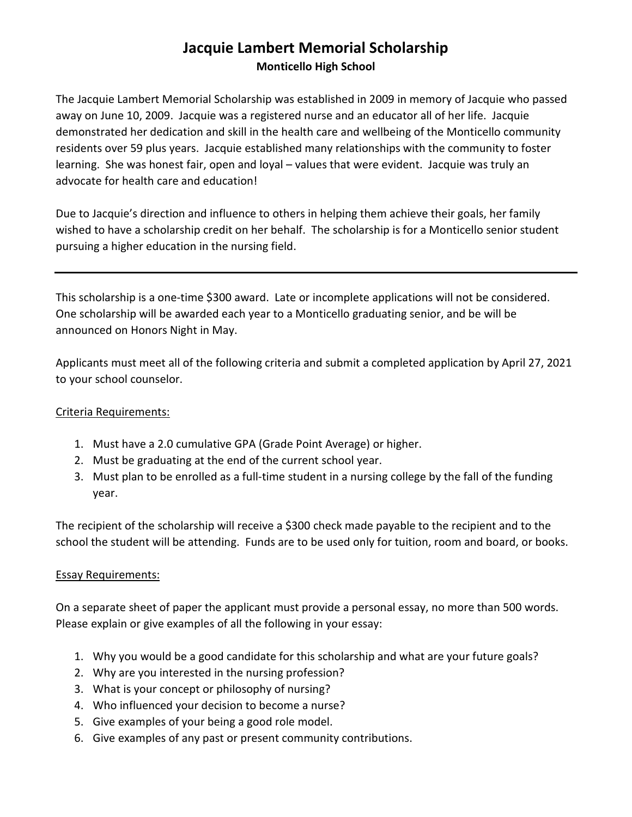## Jacquie Lambert Memorial Scholarship

Monticello High School

The Jacquie Lambert Memorial Scholarship was established in 2009 in memory of Jacquie who passed away on June 10, 2009. Jacquie was a registered nurse and an educator all of her life. Jacquie demonstrated her dedication and skill in the health care and wellbeing of the Monticello community residents over 59 plus years. Jacquie established many relationships with the community to foster learning. She was honest fair, open and loyal – values that were evident. Jacquie was truly an advocate for health care and education!

Due to Jacquie's direction and influence to others in helping them achieve their goals, her family wished to have a scholarship credit on her behalf. The scholarship is for a Monticello senior student pursuing a higher education in the nursing field.

This scholarship is a one-time \$300 award. Late or incomplete applications will not be considered. One scholarship will be awarded each year to a Monticello graduating senior, and be will be announced on Honors Night in May.

Applicants must meet all of the following criteria and submit a completed application by April 27, 2021 to your school counselor.

## Criteria Requirements:

- 1. Must have a 2.0 cumulative GPA (Grade Point Average) or higher.
- 2. Must be graduating at the end of the current school year.
- 3. Must plan to be enrolled as a full-time student in a nursing college by the fall of the funding year.

The recipient of the scholarship will receive a \$300 check made payable to the recipient and to the school the student will be attending. Funds are to be used only for tuition, room and board, or books.

## Essay Requirements:

On a separate sheet of paper the applicant must provide a personal essay, no more than 500 words. Please explain or give examples of all the following in your essay:

- 1. Why you would be a good candidate for this scholarship and what are your future goals?
- 2. Why are you interested in the nursing profession?
- 3. What is your concept or philosophy of nursing?
- 4. Who influenced your decision to become a nurse?
- 5. Give examples of your being a good role model.
- 6. Give examples of any past or present community contributions.